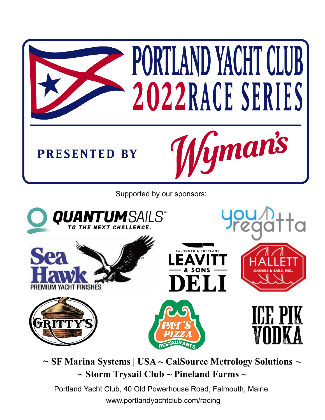

Supported by our sponsors:



~ **SF Marina Systems | USA ~ CalSource Metrology Solutions ~ ~ Storm Trysail Club ~ Pineland Farms ~**

Portland Yacht Club, 40 Old Powerhouse Road, Falmouth, Maine [www.portlandyachtclub.com](http://www.portlandyachtclub.com)/racing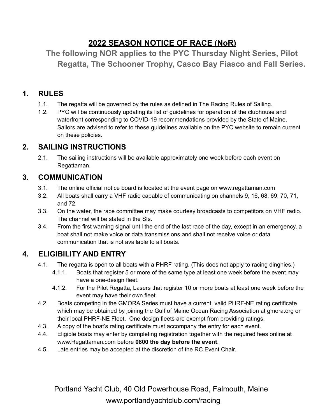# **2022 SEASON NOTICE OF RACE (NoR)**

**The following NOR applies to the PYC Thursday Night Series, Pilot Regatta, The Schooner Trophy, Casco Bay Fiasco and Fall Series.**

# **1. RULES**

- 1.1. The regatta will be governed by the rules as defined in The Racing Rules of Sailing.
- 1.2. PYC will be continuously updating its list of guidelines for operation of the clubhouse and waterfront corresponding to COVID-19 recommendations provided by the State of Maine. Sailors are advised to refer to these guidelines available on the PYC website to remain current on these policies.

# **2. SAILING INSTRUCTIONS**

2.1. The sailing instructions will be available approximately one week before each event on Regattaman.

# **3. COMMUNICATION**

- 3.1. The online official notice board is located at the event page on www.regattaman.com
- 3.2. All boats shall carry a VHF radio capable of communicating on channels 9, 16, 68, 69, 70, 71, and 72.
- 3.3. On the water, the race committee may make courtesy broadcasts to competitors on VHF radio. The channel will be stated in the SIs.
- 3.4. From the first warning signal until the end of the last race of the day, except in an emergency, a boat shall not make voice or data transmissions and shall not receive voice or data communication that is not available to all boats.

# **4. ELIGIBILITY AND ENTRY**

- 4.1. The regatta is open to all boats with a PHRF rating. (This does not apply to racing dinghies.)
	- 4.1.1. Boats that register 5 or more of the same type at least one week before the event may have a one-design fleet.
	- 4.1.2. For the Pilot Regatta, Lasers that register 10 or more boats at least one week before the event may have their own fleet.
- 4.2. Boats competing in the GMORA Series must have a current, valid PHRF-NE rating certificate which may be obtained by joining the Gulf of Maine Ocean Racing Association at gmora.org or their local PHRF-NE Fleet. One design fleets are exempt from providing ratings.
- 4.3. A copy of the boat's rating certificate must accompany the entry for each event.
- 4.4. Eligible boats may enter by completing registration together with the required fees online at www.Regattaman.com before **0800 the day before the event**.
- 4.5. Late entries may be accepted at the discretion of the RC Event Chair.

Portland Yacht Club, 40 Old Powerhouse Road, Falmouth, Maine [www.portlandyachtclub.com](http://www.portlandyachtclub.com)/racing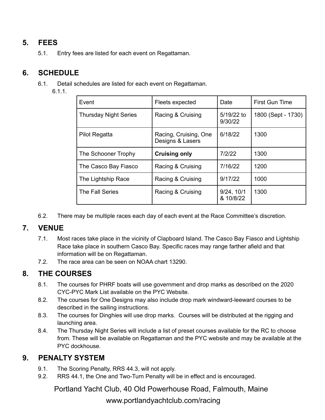# **5. FEES**

5.1. Entry fees are listed for each event on Regattaman.

#### **6. SCHEDULE**

- 6.1. Detail schedules are listed for each event on Regattaman.
	- 6.1.1.

| Event                        | Fleets expected                           | Date                    | First Gun Time     |
|------------------------------|-------------------------------------------|-------------------------|--------------------|
| <b>Thursday Night Series</b> | Racing & Cruising                         | 5/19/22 to<br>9/30/22   | 1800 (Sept - 1730) |
| Pilot Regatta                | Racing, Cruising, One<br>Designs & Lasers | 6/18/22                 | 1300               |
| The Schooner Trophy          | <b>Cruising only</b>                      | 7/2/22                  | 1300               |
| The Casco Bay Fiasco         | Racing & Cruising                         | 7/16/22                 | 1200               |
| The Lightship Race           | Racing & Cruising                         | 9/17/22                 | 1000               |
| The Fall Series              | Racing & Cruising                         | 9/24, 10/1<br>& 10/8/22 | 1300               |

6.2. There may be multiple races each day of each event at the Race Committee's discretion.

#### **7. VENUE**

- 7.1. Most races take place in the vicinity of Clapboard Island. The Casco Bay Fiasco and Lightship Race take place in southern Casco Bay. Specific races may range farther afield and that information will be on Regattaman.
- 7.2. The race area can be seen on NOAA chart 13290.

#### **8. THE COURSES**

- 8.1. The courses for PHRF boats will use government and drop marks as described on the 2020 CYC-PYC Mark List available on the PYC Website.
- 8.2. The courses for One Designs may also include drop mark windward-leeward courses to be described in the sailing instructions.
- 8.3. The courses for Dinghies will use drop marks. Courses will be distributed at the rigging and launching area.
- 8.4. The Thursday Night Series will include a list of preset courses available for the RC to choose from. These will be available on Regattaman and the PYC website and may be available at the PYC dockhouse.

#### **9. PENALTY SYSTEM**

- 9.1. The Scoring Penalty, RRS 44.3, will not apply.
- 9.2. RRS 44.1, the One and Two-Turn Penalty will be in effect and is encouraged.

Portland Yacht Club, 40 Old Powerhouse Road, Falmouth, Maine

[www.portlandyachtclub.com](http://www.portlandyachtclub.com)/racing